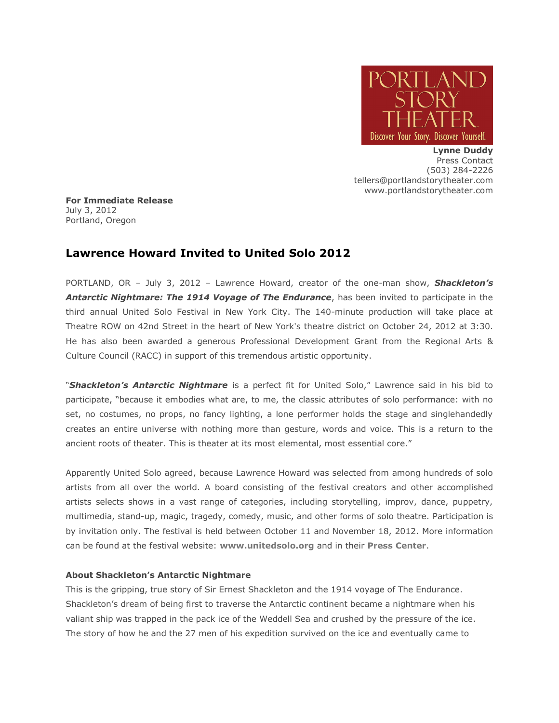

**Lynne Duddy** Press Contact (503) 284-2226 tellers@portlandstorytheater.com www.portlandstorytheater.com

**For Immediate Release** July 3, 2012 Portland, Oregon

## **Lawrence Howard Invited to United Solo 2012**

PORTLAND, OR – July 3, 2012 – Lawrence Howard, creator of the one-man show, *Shackleton's Antarctic Nightmare: The 1914 Voyage of The Endurance*, has been invited to participate in the third annual United Solo Festival in New York City. The 140-minute production will take place at Theatre ROW on 42nd Street in the heart of New York's theatre district on October 24, 2012 at 3:30. He has also been awarded a generous Professional Development Grant from the Regional Arts & Culture Council (RACC) in support of this tremendous artistic opportunity.

"*Shackleton's Antarctic Nightmare* is a perfect fit for United Solo," Lawrence said in his bid to participate, "because it embodies what are, to me, the classic attributes of solo performance: with no set, no costumes, no props, no fancy lighting, a lone performer holds the stage and singlehandedly creates an entire universe with nothing more than gesture, words and voice. This is a return to the ancient roots of theater. This is theater at its most elemental, most essential core."

Apparently United Solo agreed, because Lawrence Howard was selected from among hundreds of solo artists from all over the world. A board consisting of the festival creators and other accomplished artists selects shows in a vast range of categories, including storytelling, improv, dance, puppetry, multimedia, stand-up, magic, tragedy, comedy, music, and other forms of solo theatre. Participation is by invitation only. The festival is held between October 11 and November 18, 2012. More information can be found at the festival website: **[www.unitedsolo.org](http://www.unitedsolo.org/)** and in their **[Press Center](http://unitedsolo.org/us/uabout/upress)**.

## **About Shackleton's Antarctic Nightmare**

This is the gripping, true story of Sir Ernest Shackleton and the 1914 voyage of The Endurance. Shackleton's dream of being first to traverse the Antarctic continent became a nightmare when his valiant ship was trapped in the pack ice of the Weddell Sea and crushed by the pressure of the ice. The story of how he and the 27 men of his expedition survived on the ice and eventually came to